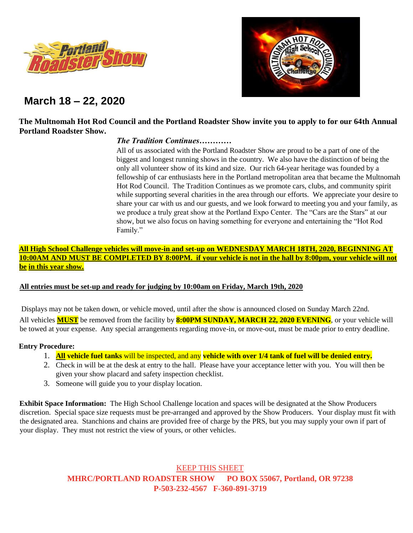



# **March 18 – 22, 2020**

# **The Multnomah Hot Rod Council and the Portland Roadster Show invite you to apply to for our 64th Annual Portland Roadster Show.**

# *The Tradition Continues…………*

All of us associated with the Portland Roadster Show are proud to be a part of one of the biggest and longest running shows in the country. We also have the distinction of being the only all volunteer show of its kind and size. Our rich 64-year heritage was founded by a fellowship of car enthusiasts here in the Portland metropolitan area that became the Multnomah Hot Rod Council. The Tradition Continues as we promote cars, clubs, and community spirit while supporting several charities in the area through our efforts. We appreciate your desire to share your car with us and our guests, and we look forward to meeting you and your family, as we produce a truly great show at the Portland Expo Center. The "Cars are the Stars" at our show, but we also focus on having something for everyone and entertaining the "Hot Rod Family."

# **All High School Challenge vehicles will move-in and set-up on WEDNESDAY MARCH 18TH, 2020, BEGINNING AT 10:00AM AND MUST BE COMPLETED BY 8:00PM. if your vehicle is not in the hall by 8:00pm, your vehicle will not be in this year show.**

## **All entries must be set-up and ready for judging by 10:00am on Friday, March 19th, 2020**

Displays may not be taken down, or vehicle moved, until after the show is announced closed on Sunday March 22nd. All vehicles **MUST** be removed from the facility by **8:00PM SUNDAY, MARCH 22, 2020 EVENING**, or your vehicle will be towed at your expense. Any special arrangements regarding move-in, or move-out, must be made prior to entry deadline.

#### **Entry Procedure:**

- 1. **All vehicle fuel tanks** will be inspected, and any **vehicle with over 1/4 tank of fuel will be denied entry.**
- 2. Check in will be at the desk at entry to the hall. Please have your acceptance letter with you. You will then be given your show placard and safety inspection checklist.
- 3. Someone will guide you to your display location.

**Exhibit Space Information:** The High School Challenge location and spaces will be designated at the Show Producers discretion. Special space size requests must be pre-arranged and approved by the Show Producers. Your display must fit with the designated area. Stanchions and chains are provided free of charge by the PRS, but you may supply your own if part of your display. They must not restrict the view of yours, or other vehicles.

> KEEP THIS SHEET **MHRC/PORTLAND ROADSTER SHOW PO BOX 55067, Portland, OR 97238 P-503-232-4567 F-360-891-3719**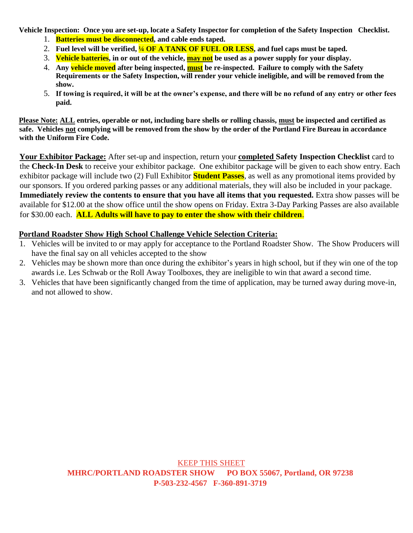**Vehicle Inspection: Once you are set-up, locate a Safety Inspector for completion of the Safety Inspection Checklist.** 

- 1. **Batteries must be disconnected, and cable ends taped.**
- 2. **Fuel level will be verified, ¼ OF A TANK OF FUEL OR LESS, and fuel caps must be taped.**
- 3. **Vehicle batteries, in or out of the vehicle, may not be used as a power supply for your display.**
- 4. **Any vehicle moved after being inspected, must be re-inspected. Failure to comply with the Safety Requirements or the Safety Inspection, will render your vehicle ineligible, and will be removed from the show.**
- 5. **If towing is required, it will be at the owner's expense, and there will be no refund of any entry or other fees paid.**

**Please Note: ALL entries, operable or not, including bare shells or rolling chassis, must be inspected and certified as safe. Vehicles not complying will be removed from the show by the order of the Portland Fire Bureau in accordance with the Uniform Fire Code.** 

**Your Exhibitor Package:** After set-up and inspection, return your **completed Safety Inspection Checklist** card to the **Check-In Desk** to receive your exhibitor package. One exhibitor package will be given to each show entry. Each exhibitor package will include two (2) Full Exhibitor **Student Passes**, as well as any promotional items provided by our sponsors. If you ordered parking passes or any additional materials, they will also be included in your package. **Immediately review the contents to ensure that you have all items that you requested.** Extra show passes will be available for \$12.00 at the show office until the show opens on Friday. Extra 3-Day Parking Passes are also available for \$30.00 each. **ALL Adults will have to pay to enter the show with their children**.

# **Portland Roadster Show High School Challenge Vehicle Selection Criteria:**

- 1. Vehicles will be invited to or may apply for acceptance to the Portland Roadster Show. The Show Producers will have the final say on all vehicles accepted to the show
- 2. Vehicles may be shown more than once during the exhibitor's years in high school, but if they win one of the top awards i.e. Les Schwab or the Roll Away Toolboxes, they are ineligible to win that award a second time.
- 3. Vehicles that have been significantly changed from the time of application, may be turned away during move-in, and not allowed to show.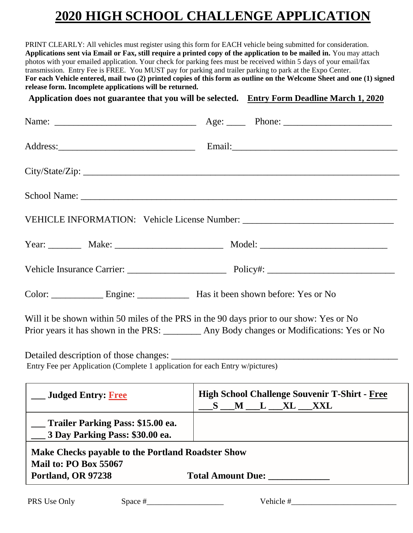# **2020 HIGH SCHOOL CHALLENGE APPLICATION**

PRINT CLEARLY: All vehicles must register using this form for EACH vehicle being submitted for consideration. **Applications sent via Email or Fax, still require a printed copy of the application to be mailed in.** You may attach photos with your emailed application. Your check for parking fees must be received within 5 days of your email/fax transmission. Entry Fee is FREE. You MUST pay for parking and trailer parking to park at the Expo Center. **For each Vehicle entered, mail two (2) printed copies of this form as outline on the Welcome Sheet and one (1) signed release form. Incomplete applications will be returned.** 

**Application does not guarantee that you will be selected. Entry Form Deadline March 1, 2020**

|                                                                                                         | School Name: New York and School Name: New York and School Name: New York and School Name: New York and School Name: New York and School Name: New York and School Name: New York and School Name: New York and School Name: N |
|---------------------------------------------------------------------------------------------------------|--------------------------------------------------------------------------------------------------------------------------------------------------------------------------------------------------------------------------------|
|                                                                                                         | VEHICLE INFORMATION: Vehicle License Number: ___________________________________                                                                                                                                               |
|                                                                                                         |                                                                                                                                                                                                                                |
|                                                                                                         |                                                                                                                                                                                                                                |
| Color: <u>Engine:</u> Engine: Has it been shown before: Yes or No                                       |                                                                                                                                                                                                                                |
|                                                                                                         | Will it be shown within 50 miles of the PRS in the 90 days prior to our show: Yes or No<br>Prior years it has shown in the PRS: ________ Any Body changes or Modifications: Yes or No                                          |
| Entry Fee per Application (Complete 1 application for each Entry w/pictures)                            |                                                                                                                                                                                                                                |
| ___ Judged Entry: Free                                                                                  | <b>High School Challenge Souvenir T-Shirt - Free</b><br>$S$ M L XL XXL                                                                                                                                                         |
| Trailer Parking Pass: \$15.00 ea.<br>3 Day Parking Pass: \$30.00 ea.                                    |                                                                                                                                                                                                                                |
| <b>Make Checks payable to the Portland Roadster Show</b><br>Mail to: PO Box 55067<br>Portland, OR 97238 | Total Amount Due: ___________                                                                                                                                                                                                  |
| PRS Use Only<br>Space $#$                                                                               | Vehicle #                                                                                                                                                                                                                      |